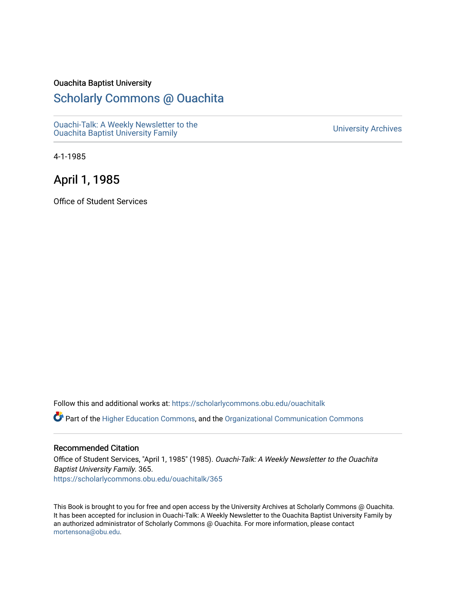#### Ouachita Baptist University

### [Scholarly Commons @ Ouachita](https://scholarlycommons.obu.edu/)

[Ouachi-Talk: A Weekly Newsletter to the](https://scholarlycommons.obu.edu/ouachitalk)  Ouachi-Taik. A weekly Newsletter to the community of the University Archives<br>[Ouachita Baptist University Family](https://scholarlycommons.obu.edu/ouachitalk)

4-1-1985

### April 1, 1985

Office of Student Services

Follow this and additional works at: [https://scholarlycommons.obu.edu/ouachitalk](https://scholarlycommons.obu.edu/ouachitalk?utm_source=scholarlycommons.obu.edu%2Fouachitalk%2F365&utm_medium=PDF&utm_campaign=PDFCoverPages) 

Part of the [Higher Education Commons,](http://network.bepress.com/hgg/discipline/1245?utm_source=scholarlycommons.obu.edu%2Fouachitalk%2F365&utm_medium=PDF&utm_campaign=PDFCoverPages) and the [Organizational Communication Commons](http://network.bepress.com/hgg/discipline/335?utm_source=scholarlycommons.obu.edu%2Fouachitalk%2F365&utm_medium=PDF&utm_campaign=PDFCoverPages)

#### Recommended Citation

Office of Student Services, "April 1, 1985" (1985). Ouachi-Talk: A Weekly Newsletter to the Ouachita Baptist University Family. 365. [https://scholarlycommons.obu.edu/ouachitalk/365](https://scholarlycommons.obu.edu/ouachitalk/365?utm_source=scholarlycommons.obu.edu%2Fouachitalk%2F365&utm_medium=PDF&utm_campaign=PDFCoverPages) 

This Book is brought to you for free and open access by the University Archives at Scholarly Commons @ Ouachita. It has been accepted for inclusion in Ouachi-Talk: A Weekly Newsletter to the Ouachita Baptist University Family by an authorized administrator of Scholarly Commons @ Ouachita. For more information, please contact [mortensona@obu.edu.](mailto:mortensona@obu.edu)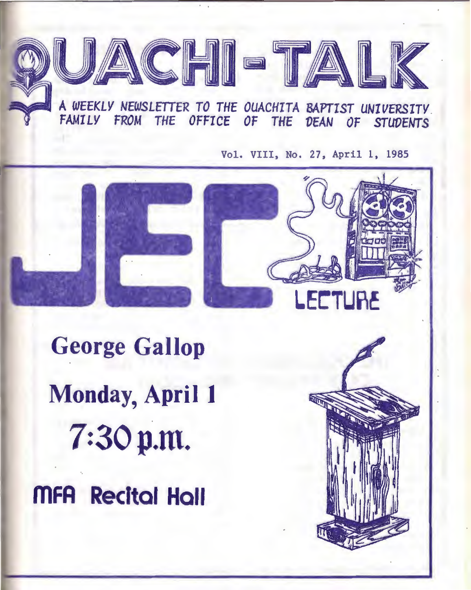

# ~..., <sup>A</sup>*WEEKLY NEWSLffiER TO THE OUACHITA BAPTIST UNIVERSITY. FAMILY FROM THE* OFFICE *OF THE VEAN OF STUDENTS*

Vol. VIII, No. 27, April 1, 1985



**George Gallop Monday, April 1**  7:30 p.m. **ffiFA Recital Hall**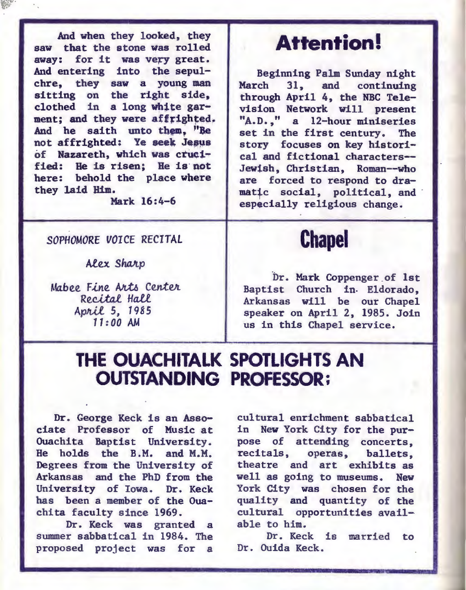And when they looked, they saw that the stone was rolled away: for it was very great. And entering into the sepulchre, they saw a young man sitting on the right side. clothed in a long white garment: and they were affrighted. And he saith unto them. "Be not affrighted: Ye seek Jesus of Nazareth, which was crucified: He is risen; He is· not here: behold the place where they laid Him.

Mark 16:4-6

#### *SOPHOMORE VOICE* RECITAL

**Alex Sharp** 

Mabee. Fine Arts Center Recital Hall *Ap!vU* 5, 7985 *11:00* AM

## **Attention!**

Beginning Palm Sunday night<br>March 31, and continuing 31, and continuing through April 4, the NBC Television Network will present "A.D.," a 12-hour miniseries set in the first century. The story focuses on key historical and fictional characters-- Jewish, Christian, Roman--who are forced to respond to dramatic social, political, and especially religious change.

# **Chapel**

Dr. Mark Coppenger of 1st Baptist Church in. Eldorado, Arkansas will be our Chapel speaker on April 2, 1985. Join us in this Chapel service.

### **THE OUACHITALK SPOTLIGHTS AN OUTSTANDING PROFESSOR;**

Dr. George Keck is an Asso- , ciate Professor of Music at Ouachita Baptist University. He holds the B.M. and M.M. Degrees from the University of Arkansas and the PhD from the University of Iowa. Dr. Keck has been a member of the Ouachita faculty since 1969.

Dr. Keck was granted a summer sabbatical in 1984. The proposed project was for a

cultural enrichment sabbatical in New York City for the purpose of attending concerts, recitals, operas, ballets, theatre and art exhibits as well as going to museums. New York City was chosen for the quality and quantity of the cultural opportunities available to him.

Dr. Keck is married to Dr. Ouida Keck.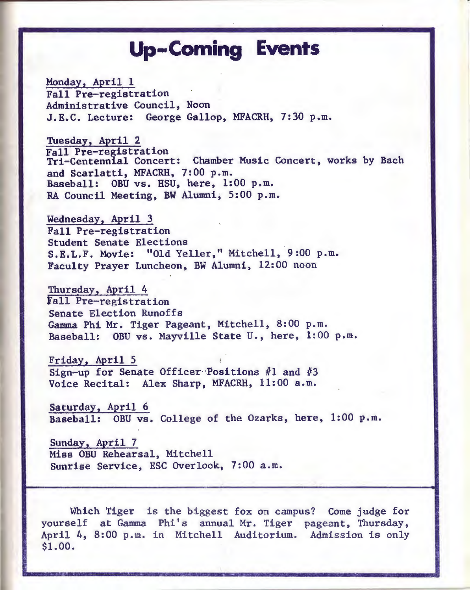# **Up-Coming Events**

Monday, April 1 Fall Pre-registration Administrative Council, Noon J.E.C. Lecture: George Gallop, MFACRH, 7:30 p.m.

Tuesday, April 2<br>Fall Pre-registration Tri-Centennial Concert: Chamber Music Concert, works by Bach and Scarlatti, MFACRH, 7:00 p.m. Baseball: OBU vs. HSU, here, 1:00 p.m. RA Council Meeting, BW Alumni, 5:00 p.m.

Wednesday, April 3 Fall Pre-registration S.E.L.F. Movie: "Old Yeller," Mitchell, 9:00 p.m. Faculty Prayer Luncheon, BW Alumni, 12:00 noon

Thursday, April 4 fall Pre-registration Senate Election Runoffs Gamma Phi Mr. Tiger Pageant, Mitchell, 8:00 p.m. Baseball: OBU vs. Mayville State U., here, 1:00 p.m.

Friday, April 5 Sign-up for Senate Officer Positions  $#1$  and  $#3$ Voice Recital: Alex Sharp, MFACRH, 11:00 a.m.

Saturday, April 6 Baseball: OBU vs. College of the Ozarks, here, 1:00 p.m.

Sunday, April 7 Miss OBU Rehearsal, Mitchell Sunrise Service, ESC Overlook, 7:00 a.m.

Which Tiger is the biggest fox on campus? Come judge for yourself at Gamma Phi's annual Mr. Tiger pageant, Thursday, April 4, 8:00 p.m. in Mitchell Auditorium. Admission is only \$1.00.